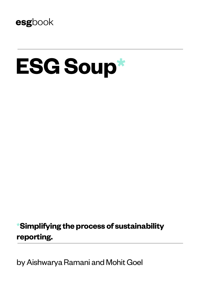

# **ESG Soup\***

## **\*Simplifying the process of sustainability reporting.**

by Aishwarya Ramani and Mohit Goel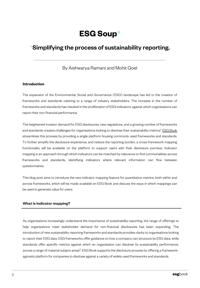## **ESG Soup\***

### \*Simplifying the process of sustainability reporting.

By Aishwarya Ramani and Mohit Goel

#### **Introduction**

The expansion of the Environmental, Social and Governance ('ESG') landscape has led to the creation of frameworks and standards catering to a range of industry stakeholders. The increase in the number of frameworks and standards has resulted in the proliferation of ESG indicators, against which organisations can report their non-financial performance.

The heightened investor demand for ESG disclosures, new regulations, and a growing number of f[rameworks](http://www.esgbook.com/) and standards creates challenges for organisations looking to disclose their sustainability metrics<sup>1</sup>. <u>ESG Book</u> streamlines this process by providing a single platform housing commonly used frameworks and standards. To further simplify the disclosure experience, and reduce the reporting burden, a cross-framework mapping functionality will be available on the platform to support users with their disclosure journeys. Indicator mapping is an approach through which indicators can be matched by relevance to find commonalities across frameworks and standards, identifying indicators where relevant information can flow between questionnaires.

This blog post aims to introduce the new indicator mapping feature for quantitative metrics, both within and across frameworks, which will be made available on ESG Book and discuss the ways in which mappings can be used to generate value for users.

#### **What is indicator mapping?**

As organisations increasingly understand the importance of sustainability reporting, the range of offerings to help organisations meet stakeholder demand for non-financial disclosures has been expanding. The introduction of new sustainability reporting frameworks and standards provides clarity to organisations looking to report their ESG data. ESG frameworks offer guidance on how a company can structure its ESG data, while standards offer specific metrics against which an organisation can disclose its sustainability performance, across a range of material subject areas<sup>2</sup>. ESG Book supports the disclosure process by offering a frameworkagnostic platform for companies to disclose against a variety of widely used frameworks and standards.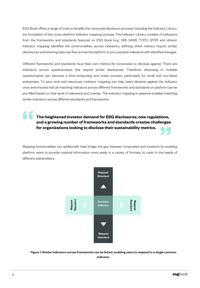ESG Book offers a range of tools to simplify the corporate disclosure process, including the Indicator Library, the foundation of the cross-platform indicator mapping process. The Indicator Library consists of indicators from the frameworks and standards featured on ESG Book (e.g., GRI, SASB, TCFD, SFDR and others). Indicator mapping identifies the commonalities across indicators, defining which metrics require similar disclosures and ensuring data can flow across the platform to pre-populate indicators with identified linkages.

Different frameworks and standards have their own metrics for corporates to disclose against. There are indicators across questionnaires that require similar disclosures. Therefore, disclosing to multiple questionnaires can become a time-consuming and costly process, particularly for small and non-listed enterprises. To save time and resources, indicator mapping can help users disclose against the indicator once and ensures that all matching indicators across different frameworks and standards on platform can be pre-filled based on their level of relevance and overlap. The indicator mapping in essence enables matching similar indicators across different standards and frameworks.

**The heightened investor demand for ESG disclosures, new regulations, and a growing number of frameworks and standards creates challenges for organizations looking to disclose their sustainability metrics.** 

Mapping functionalities can additionally help bridge the gap between corporates and investors by enabling platform users to provide material information more easily in a variety of formats, to cater to the needs of different stakeholders.



Figure 1: Similar indicators across frameworks can be linked, enabling users to respond to a single common indicator.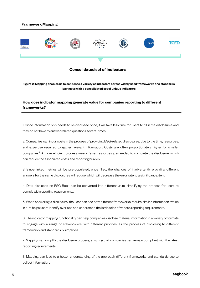#### **Framework Mapping**



#### **Consolidated set of indicators**

Figure 2: Mapping enables us to condense a variety of indicators across widely used frameworks and standards, leaving us with a consolidated set of unique indicators.

#### **How does indicator mapping generate value for companies reporting to different frameworks?**

1. Since information only needs to be disclosed once, it will take less time for users to fill in the disclosures and they do not have to answer related questions several times.

2. Companies can incur costs in the process of providing ESG-related disclosures, due to the time, resources, and expertise required to gather relevant information. Costs are often proportionately higher for smaller companies<sup>3</sup>. A more efficient process means fewer resources are needed to complete the disclosure, which can reduce the associated costs and reporting burden.

3. Since linked metrics will be pre-populated, once filled, the chances of inadvertently providing different answers for the same disclosures will reduce, which will decrease the error rate to a significant extent.

4. Data disclosed on ESG Book can be converted into different units, simplifying the process for users to comply with reporting requirements.

5. When answering a disclosure, the user can see how different frameworks require similar information, which in turn helps users identify overlaps and understand the intricacies of various reporting requirements.

6. The indicator mapping functionality can help companies disclose material information in a variety of formats to engage with a range of stakeholders, with different priorities, as the process of disclosing to different frameworks and standards is simplified.

7. Mapping can simplify the disclosure process, ensuring that companies can remain compliant with the latest reporting requirements.

8. Mapping can lead to a better understanding of the approach different frameworks and standards use to collect information.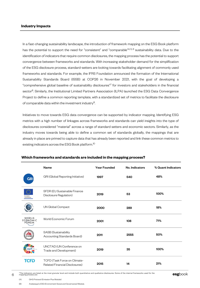#### **Industry Impacts**

In a fast-changing sustainability landscape, the introduction of framework mapping on the ESG Book platform has the potential to support the need for "consistent" and "comparable"<sup>4, 5, 6</sup> sustainability data. Due to the identification of indicators that require common disclosures, the mapping process has the potential to support convergence between frameworks and standards. With increasing stakeholder demand for the simplification of the ESG disclosure process, standard-setters are looking towards facilitating alignment of commonly used frameworks and standards. For example, the IFRS Foundation announced the formation of the International Sustainability Standards Board (ISSB) at COP26 in November 2021, with the goal of developing a "comprehensive global baseline of sustainability disclosures"7 for investors and stakeholders in the financial sector<sup>8</sup>. Similarly, the Institutional Limited Partners Association (ILPA) launched the ESG Data Convergence Project to define a common reporting template, with a standardized set of metrics to facilitate the disclosure of comparable data within the investment industry<sup>9</sup>.

Initiatives to move towards ESG data convergence can be supported by indicator mapping. Identifying ESG metrics with a high number of linkages across frameworks and standards can yield insights into the type of disclosures considered "material" across a range of standard setters and economic sectors. Similarly, as the industry moves towards being able to define a common set of standards globally, the mappings that are already in place are primed to capture data that has already been reported and link these common metrics to existing indicators across the ESG Book platform. 10

|                                   | Name                                                                  | <b>Year Founded</b> | No. Indicators | % Quant Indicators |
|-----------------------------------|-----------------------------------------------------------------------|---------------------|----------------|--------------------|
| <b>GRI</b>                        | GRI (Global Reporting Initiative)                                     | 1997                | 540            | 48%                |
| Europear<br>Commission            | SFDR (EU Sustainable Finance<br>Disclosure Regulation)                | 2019                | 53             | 100%               |
|                                   | UN Global Compact                                                     | 2000                | 289            | 18%                |
| WØRLD<br><b>ECONOMIC</b><br>FORUM | World Economic Forum                                                  | 2001                | 108            | 71%                |
|                                   | SASB (Sustainability<br>Accounting Standards Board)                   | 2011                | 2555           | 50%                |
|                                   | UNCTAD (UN Conference on<br>Trade and Development)                    | 2019                | 35             | 100%               |
| TCFD                              | TCFD (Task Force on Climate-<br><b>Related Financial Disclosures)</b> | 2015                | 14             | 21%                |

#### **Which frameworks and standards are included in the mapping process?**

\*The indicators are listed at the most granular level and include both quantitative and qualitative disclosures. Some of the internal frameworks used for the **esg**book mapping process are:

(B) Arabesque's ESG (Environment Social and Governance) Module.

<sup>(</sup>A) GHG Protocol (Emission Plus Module)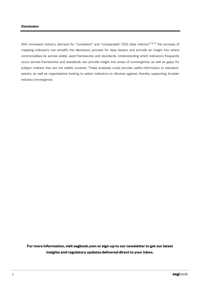With increased industry demand for "consistent" and "comparable" ESG data metrics,<sup>11, 12, 13</sup> the process of mapping indicators can simplify the disclosure process for data issuers and provide an insight into where commonalities lie across widely used frameworks and standards. Understanding which indicators frequently occur across frameworks and standards can provide insight into areas of convergence, as well as gaps, for subject matters that are not widely covered. These analyses could provide useful information to standardsetters, as well as organisations looking to select indicators to disclose against, thereby supporting broader industry convergence.

**For more information, visit esgbook.com or sign-up to our newsletter to get our latest insights and regulatory updates delivered direct to your inbox.**